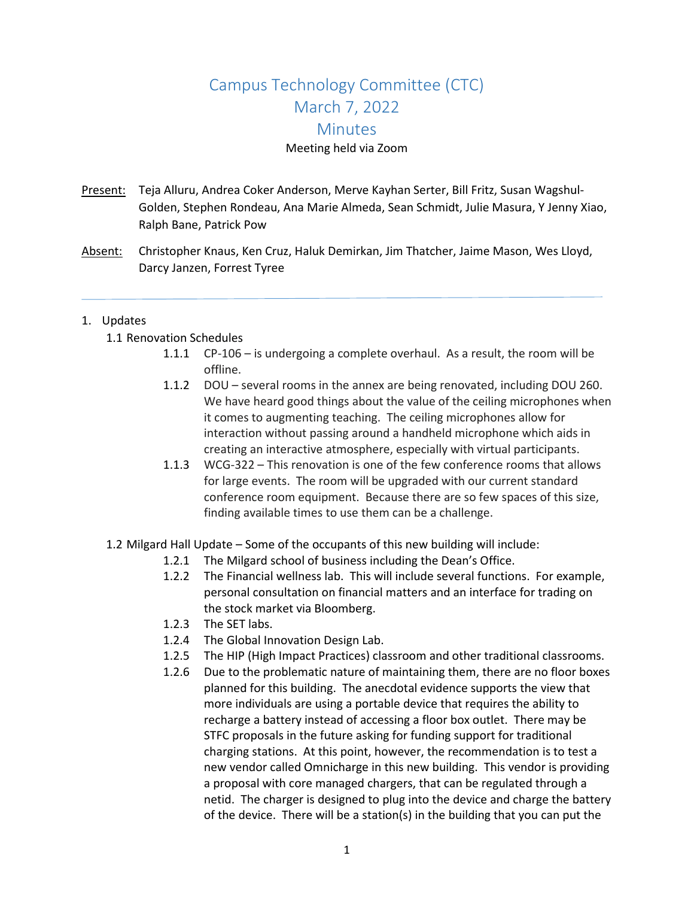# Campus Technology Committee (CTC) March 7, 2022 **Minutes**

# Meeting held via Zoom

- Present: Teja Alluru, Andrea Coker Anderson, Merve Kayhan Serter, Bill Fritz, Susan Wagshul-Golden, Stephen Rondeau, Ana Marie Almeda, Sean Schmidt, Julie Masura, Y Jenny Xiao, Ralph Bane, Patrick Pow
- Absent: Christopher Knaus, Ken Cruz, Haluk Demirkan, Jim Thatcher, Jaime Mason, Wes Lloyd, Darcy Janzen, Forrest Tyree

# 1. Updates

- 1.1 Renovation Schedules
	- 1.1.1 CP-106 is undergoing a complete overhaul. As a result, the room will be offline.
	- 1.1.2 DOU several rooms in the annex are being renovated, including DOU 260. We have heard good things about the value of the ceiling microphones when it comes to augmenting teaching. The ceiling microphones allow for interaction without passing around a handheld microphone which aids in creating an interactive atmosphere, especially with virtual participants.
	- 1.1.3 WCG-322 This renovation is one of the few conference rooms that allows for large events. The room will be upgraded with our current standard conference room equipment. Because there are so few spaces of this size, finding available times to use them can be a challenge.
- 1.2 Milgard Hall Update Some of the occupants of this new building will include:
	- 1.2.1 The Milgard school of business including the Dean's Office.
	- 1.2.2 The Financial wellness lab. This will include several functions. For example, personal consultation on financial matters and an interface for trading on the stock market via Bloomberg.
	- 1.2.3 The SET labs.
	- 1.2.4 The Global Innovation Design Lab.
	- 1.2.5 The HIP (High Impact Practices) classroom and other traditional classrooms.
	- 1.2.6 Due to the problematic nature of maintaining them, there are no floor boxes planned for this building. The anecdotal evidence supports the view that more individuals are using a portable device that requires the ability to recharge a battery instead of accessing a floor box outlet. There may be STFC proposals in the future asking for funding support for traditional charging stations. At this point, however, the recommendation is to test a new vendor called Omnicharge in this new building. This vendor is providing a proposal with core managed chargers, that can be regulated through a netid. The charger is designed to plug into the device and charge the battery of the device. There will be a station(s) in the building that you can put the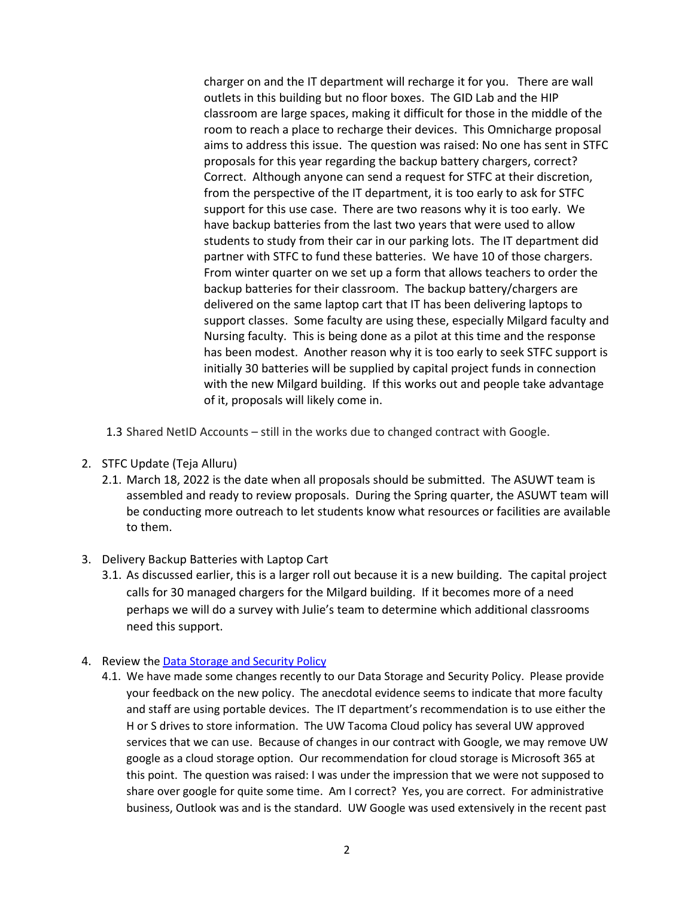charger on and the IT department will recharge it for you. There are wall outlets in this building but no floor boxes. The GID Lab and the HIP classroom are large spaces, making it difficult for those in the middle of the room to reach a place to recharge their devices. This Omnicharge proposal aims to address this issue. The question was raised: No one has sent in STFC proposals for this year regarding the backup battery chargers, correct? Correct. Although anyone can send a request for STFC at their discretion, from the perspective of the IT department, it is too early to ask for STFC support for this use case. There are two reasons why it is too early. We have backup batteries from the last two years that were used to allow students to study from their car in our parking lots. The IT department did partner with STFC to fund these batteries. We have 10 of those chargers. From winter quarter on we set up a form that allows teachers to order the backup batteries for their classroom. The backup battery/chargers are delivered on the same laptop cart that IT has been delivering laptops to support classes. Some faculty are using these, especially Milgard faculty and Nursing faculty. This is being done as a pilot at this time and the response has been modest. Another reason why it is too early to seek STFC support is initially 30 batteries will be supplied by capital project funds in connection with the new Milgard building. If this works out and people take advantage of it, proposals will likely come in.

- 1.3 Shared NetID Accounts still in the works due to changed contract with Google.
- 2. STFC Update (Teja Alluru)
	- 2.1. March 18, 2022 is the date when all proposals should be submitted. The ASUWT team is assembled and ready to review proposals. During the Spring quarter, the ASUWT team will be conducting more outreach to let students know what resources or facilities are available to them.
- 3. Delivery Backup Batteries with Laptop Cart
	- 3.1. As discussed earlier, this is a larger roll out because it is a new building. The capital project calls for 30 managed chargers for the Milgard building. If it becomes more of a need perhaps we will do a survey with Julie's team to determine which additional classrooms need this support.

# 4. Review the [Data Storage and Security Policy](https://www.tacoma.uw.edu/sites/default/files/2020-12/storage_security_data.pdf)

4.1. We have made some changes recently to our Data Storage and Security Policy. Please provide your feedback on the new policy. The anecdotal evidence seems to indicate that more faculty and staff are using portable devices. The IT department's recommendation is to use either the H or S drives to store information. The UW Tacoma Cloud policy has several UW approved services that we can use. Because of changes in our contract with Google, we may remove UW google as a cloud storage option. Our recommendation for cloud storage is Microsoft 365 at this point. The question was raised: I was under the impression that we were not supposed to share over google for quite some time. Am I correct? Yes, you are correct. For administrative business, Outlook was and is the standard. UW Google was used extensively in the recent past